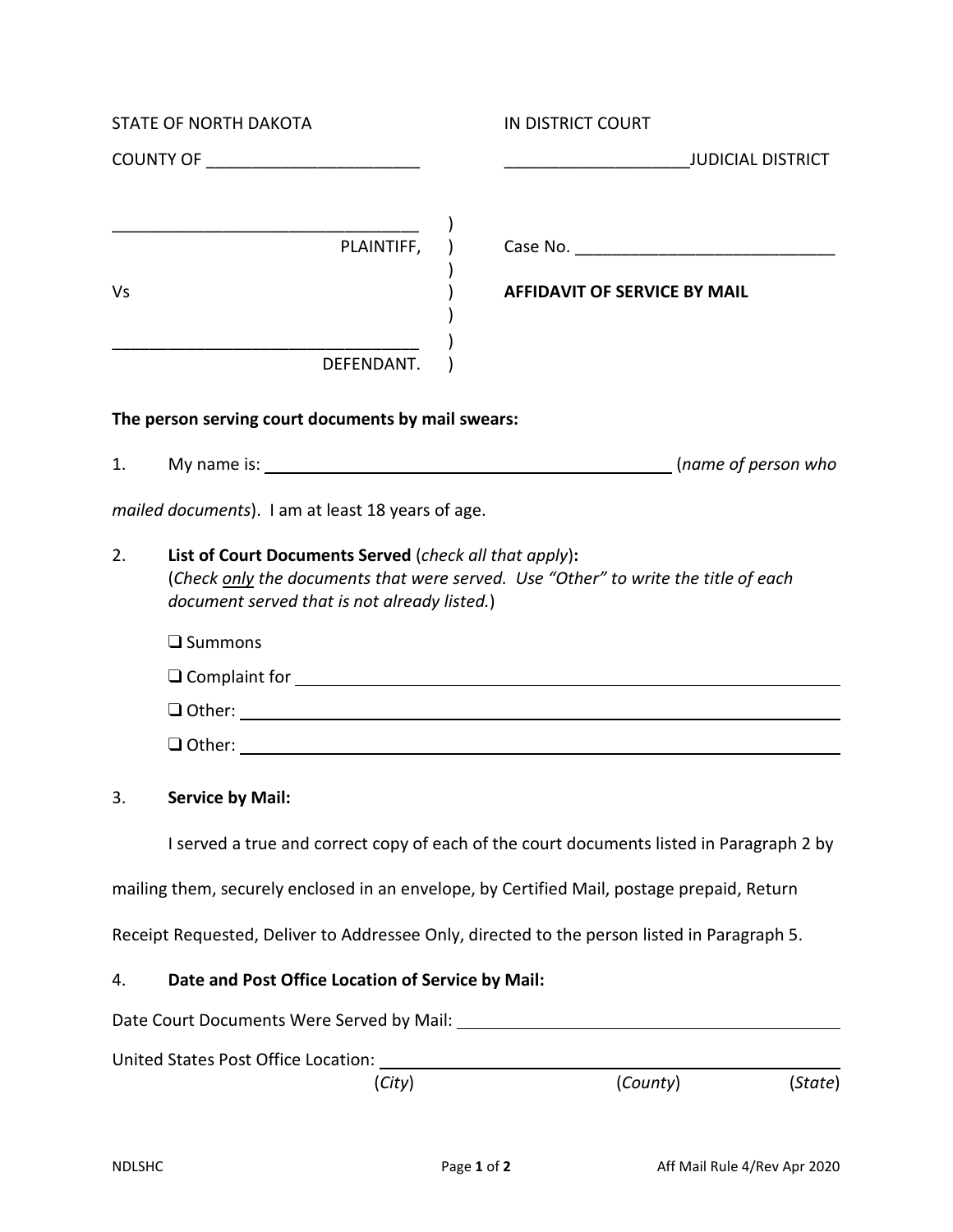| <b>STATE OF NORTH DAKOTA</b> |                                                                                                        | IN DISTRICT COURT                                                                                                                                                                                                              |  |
|------------------------------|--------------------------------------------------------------------------------------------------------|--------------------------------------------------------------------------------------------------------------------------------------------------------------------------------------------------------------------------------|--|
|                              |                                                                                                        |                                                                                                                                                                                                                                |  |
| Vs                           | $\overbrace{\qquad \qquad }^{\qquad \qquad }$ PLAINTIFF,                                               | <b>AFFIDAVIT OF SERVICE BY MAIL</b>                                                                                                                                                                                            |  |
|                              | DEFENDANT.                                                                                             |                                                                                                                                                                                                                                |  |
|                              | The person serving court documents by mail swears:                                                     |                                                                                                                                                                                                                                |  |
| 1.                           |                                                                                                        |                                                                                                                                                                                                                                |  |
|                              | mailed documents). I am at least 18 years of age.                                                      |                                                                                                                                                                                                                                |  |
| 2.                           | List of Court Documents Served (check all that apply):<br>document served that is not already listed.) | (Check only the documents that were served. Use "Other" to write the title of each                                                                                                                                             |  |
|                              | $\square$ Summons                                                                                      |                                                                                                                                                                                                                                |  |
|                              |                                                                                                        | O Complaint for Sandwich Complaint for Sandwich Complaint for Sandwich Complaint for Sandwich Complaint Complaint Complaint Complaint Complaint Complaint Complaint Complaint Complaint Complaint Complaint Complaint Complain |  |
|                              |                                                                                                        |                                                                                                                                                                                                                                |  |
|                              |                                                                                                        |                                                                                                                                                                                                                                |  |
| 3.                           | <b>Service by Mail:</b>                                                                                |                                                                                                                                                                                                                                |  |
|                              |                                                                                                        | I served a true and correct copy of each of the court documents listed in Paragraph 2 by                                                                                                                                       |  |
|                              |                                                                                                        | mailing them, securely enclosed in an envelope, by Certified Mail, postage prepaid, Return                                                                                                                                     |  |
|                              |                                                                                                        | Receipt Requested, Deliver to Addressee Only, directed to the person listed in Paragraph 5.                                                                                                                                    |  |
| 4.                           | Date and Post Office Location of Service by Mail:                                                      |                                                                                                                                                                                                                                |  |
|                              |                                                                                                        |                                                                                                                                                                                                                                |  |
|                              | United States Post Office Location: _____                                                              |                                                                                                                                                                                                                                |  |
|                              | (City)                                                                                                 | (County)<br>(State)                                                                                                                                                                                                            |  |